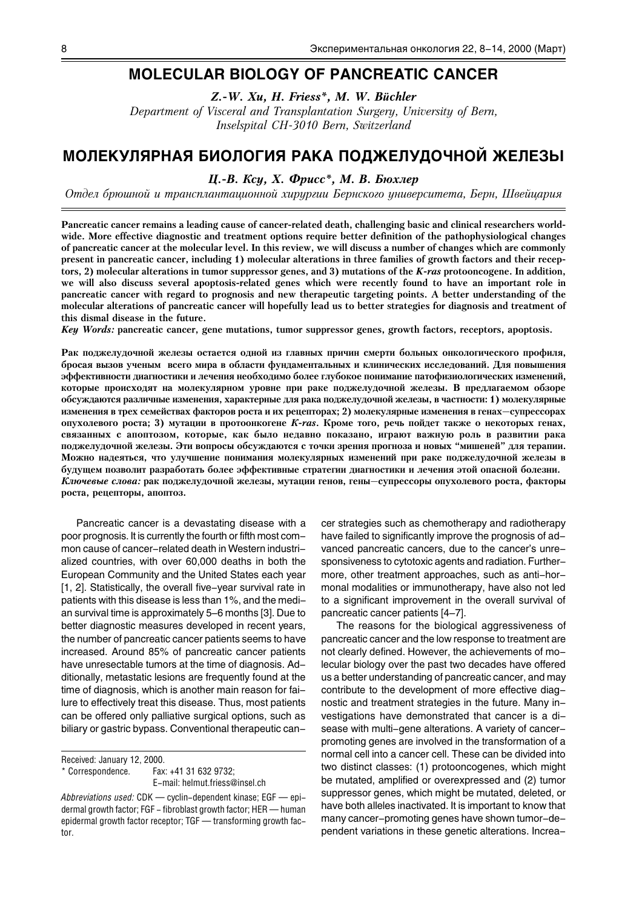# MOLECULAR BIOLOGY OF PANCREATIC CANCER

Z.-W. Xu, H. Friess\*, M. W. Büchler

Department of Visceral and Transplantation Surgery, University of Bern, Inselspital CH-3010 Bern, Switzerland

# МОЛЕКУЛЯРНАЯ БИОЛОГИЯ РАКА ПОДЖЕЛУДОЧНОЙ ЖЕЛЕЗЫ

Ц.-В. Ксу, Х. Фрисс $*$ , М. В. Бюхлер

Отдел брюшной и трансплантационной хирургии Бернского университета, Берн, Швейцария

Pancreatic cancer remains a leading cause of cancer-related death, challenging basic and clinical researchers worldwide. More effective diagnostic and treatment options require better definition of the pathophysiological changes of pancreatic cancer at the molecular level. In this review, we will discuss a number of changes which are commonly present in pancreatic cancer, including 1) molecular alterations in three families of growth factors and their receptors, 2) molecular alterations in tumor suppressor genes, and 3) mutations of the K-ras protooncogene. In addition, we will also discuss several apoptosis-related genes which were recently found to have an important role in pancreatic cancer with regard to prognosis and new therapeutic targeting points. A better understanding of the molecular alterations of pancreatic cancer will hopefully lead us to better strategies for diagnosis and treatment of this dismal disease in the future.

Key Words: pancreatic cancer, gene mutations, tumor suppressor genes, growth factors, receptors, apoptosis.

Рак поджелудочной железы остается одной из главных причин смерти больных онкологического профиля, бросая вызов ученым всего мира в области фундаментальных и клинических исследований. Для повышения эффективности диагностики и лечения необходимо более глубокое понимание патофизиологических изменений, которые происходят на молекулярном уровне при раке поджелудочной железы. В предлагаемом обзоре обсуждаются различные изменения, характерные для рака поджелудочной железы, в частности: 1) молекулярные изменения в трех семействах факторов роста и их рецепторах; 2) молекулярные изменения в генах-супрессорах опухолевого роста; 3) мутации в протоонкогене K-ras. Кроме того, речь пойдет также о некоторых генах, связанных с апоптозом, которые, как было недавно показано, играют важную роль в развитии рака поджелудочной железы. Эти вопросы обсуждаются с точки зрения прогноза и новых "мишеней" для терапии. Можно надеяться, что улучшение понимания молекулярных изменений при раке поджелудочной железы в будущем позволит разработать более эффективные стратегии диагностики и лечения этой опасной болезни. Ключевые слова: рак поджелудочной железы, мутации генов, гены-супрессоры опухолевого роста, факторы роста, рецепторы, апоптоз.

Pancreatic cancer is a devastating disease with a poor prognosis. It is currently the fourth or fifth most common cause of cancer-related death in Western industrialized countries, with over 60,000 deaths in both the European Community and the United States each year [1, 2]. Statistically, the overall five-year survival rate in patients with this disease is less than 1%, and the median survival time is approximately 5-6 months [3]. Due to better diagnostic measures developed in recent years, the number of pancreatic cancer patients seems to have increased. Around 85% of pancreatic cancer patients have unresectable tumors at the time of diagnosis. Additionally, metastatic lesions are frequently found at the time of diagnosis, which is another main reason for failure to effectively treat this disease. Thus, most patients can be offered only palliative surgical options, such as biliary or gastric bypass. Conventional therapeutic can-

Received: January 12, 2000.

E-mail: helmut.friess@insel.ch

Abbreviations used:  $CDK$  - cyclin-dependent kinase; EGF - epidermal growth factor; FGF - fibroblast growth factor; HER - human epidermal growth factor receptor; TGF - transforming growth factor.

cer strategies such as chemotherapy and radiotherapy have failed to significantly improve the prognosis of advanced pancreatic cancers, due to the cancer's unresponsiveness to cytotoxic agents and radiation. Furthermore, other treatment approaches, such as anti-hormonal modalities or immunotherapy, have also not led to a significant improvement in the overall survival of pancreatic cancer patients [4-7].

The reasons for the biological aggressiveness of pancreatic cancer and the low response to treatment are not clearly defined. However, the achievements of molecular biology over the past two decades have offered us a better understanding of pancreatic cancer, and may contribute to the development of more effective diagnostic and treatment strategies in the future. Many investigations have demonstrated that cancer is a disease with multi-gene alterations. A variety of cancerpromoting genes are involved in the transformation of a normal cell into a cancer cell. These can be divided into two distinct classes: (1) protooncogenes, which might be mutated, amplified or overexpressed and (2) tumor suppressor genes, which might be mutated, deleted, or have both alleles inactivated. It is important to know that many cancer-promoting genes have shown tumor-dependent variations in these genetic alterations. Increa-

<sup>\*</sup> Correspondence. Fax: +41 31 632 9732;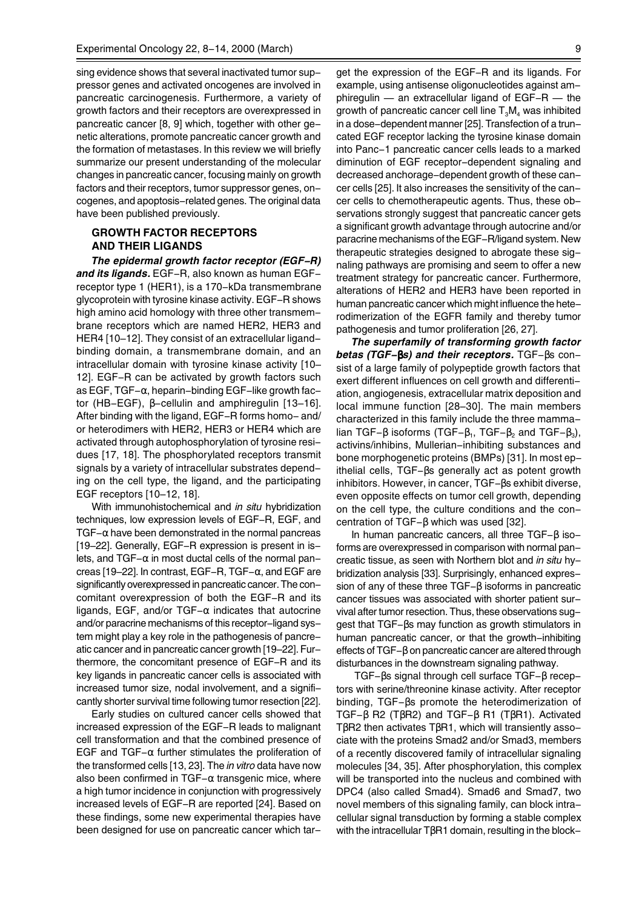sing evidence shows that several inactivated tumor suppressor genes and activated oncogenes are involved in pancreatic carcinogenesis. Furthermore, a variety of growth factors and their receptors are overexpressed in pancreatic cancer [8, 9] which, together with other genetic alterations, promote pancreatic cancer growth and the formation of metastases. In this review we will briefly summarize our present understanding of the molecular changes in pancreatic cancer, focusing mainly on growth factors and their receptors, tumor suppressor genes, oncogenes, and apoptosis-related genes. The original data have been published previously.

## GROWTH FACTOR RECEPTORS AND THEIR LIGANDS

The epidermal growth factor receptor (EGF-R) and its ligands. EGF-R, also known as human EGFreceptor type 1 (HER1), is a 170-kDa transmembrane glycoprotein with tyrosine kinase activity. EGF-R shows high amino acid homology with three other transmembrane receptors which are named HER2, HER3 and HER4 [10-12]. They consist of an extracellular ligandbinding domain, a transmembrane domain, and an intracellular domain with tyrosine kinase activity [10 12]. EGF-R can be activated by growth factors such as EGF, TGF- $\alpha$ , heparin-binding EGF-like growth factor (HB-EGF),  $β$ -cellulin and amphiregulin [13-16]. After binding with the ligand, EGF-R forms homo- and/ or heterodimers with HER2, HER3 or HER4 which are activated through autophosphorylation of tyrosine residues [17, 18]. The phosphorylated receptors transmit signals by a variety of intracellular substrates depending on the cell type, the ligand, and the participating EGF receptors [10-12, 18].

With immunohistochemical and in situ hybridization techniques, low expression levels of EGF-R, EGF, and TGF- $\alpha$  have been demonstrated in the normal pancreas [19-22]. Generally, EGF-R expression is present in islets, and TGF- $\alpha$  in most ductal cells of the normal pancreas [19-22]. In contrast, EGF-R, TGF- $\alpha$ , and EGF are significantly overexpressed in pancreatic cancer. The concomitant overexpression of both the EGF-R and its ligands, EGF, and/or TGF- $\alpha$  indicates that autocrine and/or paracrine mechanisms of this receptor-ligand system might play a key role in the pathogenesis of pancreatic cancer and in pancreatic cancer growth [19-22]. Furthermore, the concomitant presence of EGF-R and its key ligands in pancreatic cancer cells is associated with increased tumor size, nodal involvement, and a significantly shorter survival time following tumor resection [22].

Early studies on cultured cancer cells showed that increased expression of the EGF-R leads to malignant cell transformation and that the combined presence of EGF and TGF- $\alpha$  further stimulates the proliferation of the transformed cells [13, 23]. The in vitro data have now also been confirmed in TGF- $\alpha$  transgenic mice, where a high tumor incidence in conjunction with progressively increased levels of EGF-R are reported [24]. Based on these findings, some new experimental therapies have been designed for use on pancreatic cancer which target the expression of the EGF-R and its ligands. For example, using antisense oligonucleotides against amphiregulin  $-$  an extracellular ligand of EGF-R  $-$  the growth of pancreatic cancer cell line  $T_3M_4$  was inhibited in a dose-dependent manner [25]. Transfection of a truncated EGF receptor lacking the tyrosine kinase domain into Panc-1 pancreatic cancer cells leads to a marked diminution of EGF receptor-dependent signaling and decreased anchorage-dependent growth of these cancer cells [25]. It also increases the sensitivity of the cancer cells to chemotherapeutic agents. Thus, these observations strongly suggest that pancreatic cancer gets a significant growth advantage through autocrine and/or paracrine mechanisms of the EGF-R/ligand system. New therapeutic strategies designed to abrogate these signaling pathways are promising and seem to offer a new treatment strategy for pancreatic cancer. Furthermore, alterations of HER2 and HER3 have been reported in human pancreatic cancer which might influence the heterodimerization of the EGFR family and thereby tumor pathogenesis and tumor proliferation [26, 27].

The superfamily of transforming growth factor betas (TGF-βs) and their receptors. TGF-βs consist of a large family of polypeptide growth factors that exert different influences on cell growth and differentiation, angiogenesis, extracellular matrix deposition and local immune function [28-30]. The main members characterized in this family include the three mammalian TGF-β isoforms (TGF-β<sub>1</sub>, TGF-β<sub>2</sub> and TGF-β<sub>3</sub>), activins/inhibins, Mullerian-inhibiting substances and bone morphogenetic proteins (BMPs) [31]. In most epithelial cells, TGF-βs generally act as potent growth inhibitors. However, in cancer, TGF-βs exhibit diverse, even opposite effects on tumor cell growth, depending on the cell type, the culture conditions and the concentration of TGF-β which was used [32].

In human pancreatic cancers, all three TGF-β isoforms are overexpressed in comparison with normal pancreatic tissue, as seen with Northern blot and in situ hybridization analysis [33]. Surprisingly, enhanced expression of any of these three TGF-β isoforms in pancreatic cancer tissues was associated with shorter patient survival after tumor resection. Thus, these observations suggest that TGF-βs may function as growth stimulators in human pancreatic cancer, or that the growth-inhibiting effects of TGF-β on pancreatic cancer are altered through disturbances in the downstream signaling pathway.

 TGF-βs signal through cell surface TGF-β receptors with serine/threonine kinase activity. After receptor binding, TGF-βs promote the heterodimerization of TGF-β R2 (TβR2) and TGF-β R1 (TβR1). Activated TβR2 then activates TβR1, which will transiently associate with the proteins Smad2 and/or Smad3, members of a recently discovered family of intracellular signaling molecules [34, 35]. After phosphorylation, this complex will be transported into the nucleus and combined with DPC4 (also called Smad4). Smad6 and Smad7, two novel members of this signaling family, can block intracellular signal transduction by forming a stable complex with the intracellular TβR1 domain, resulting in the block-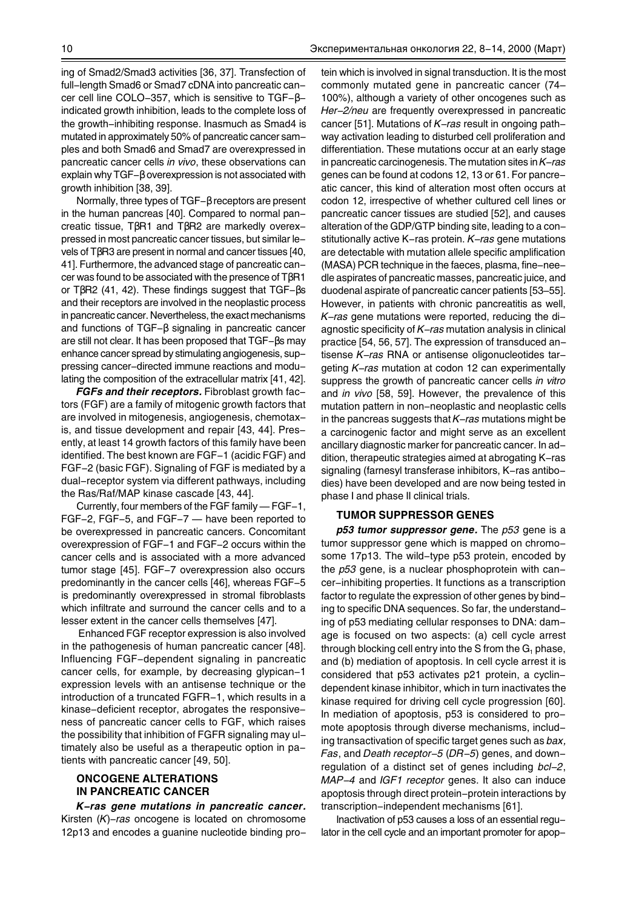ing of Smad2/Smad3 activities [36, 37]. Transfection of full-length Smad6 or Smad7 cDNA into pancreatic cancer cell line COLO-357, which is sensitive to TGF-βindicated growth inhibition, leads to the complete loss of the growth-inhibiting response. Inasmuch as Smad4 is mutated in approximately 50% of pancreatic cancer samples and both Smad6 and Smad7 are overexpressed in pancreatic cancer cells in vivo, these observations can explain why TGF-β overexpression is not associated with growth inhibition [38, 39].

Normally, three types of TGF-β receptors are present in the human pancreas [40]. Compared to normal pancreatic tissue, TβR1 and TβR2 are markedly overexpressed in most pancreatic cancer tissues, but similar levels of TβR3 are present in normal and cancer tissues [40, 41]. Furthermore, the advanced stage of pancreatic cancer was found to be associated with the presence of TβR1 or TβR2 (41, 42). These findings suggest that TGF-βs and their receptors are involved in the neoplastic process in pancreatic cancer. Nevertheless, the exact mechanisms and functions of TGF-β signaling in pancreatic cancer are still not clear. It has been proposed that TGF-βs may enhance cancer spread by stimulating angiogenesis, suppressing cancer-directed immune reactions and modulating the composition of the extracellular matrix [41, 42].

FGFs and their receptors. Fibroblast growth factors (FGF) are a family of mitogenic growth factors that are involved in mitogenesis, angiogenesis, chemotaxis, and tissue development and repair [43, 44]. Presently, at least 14 growth factors of this family have been identified. The best known are FGF-1 (acidic FGF) and FGF-2 (basic FGF). Signaling of FGF is mediated by a dual-receptor system via different pathways, including the Ras/Raf/MAP kinase cascade [43, 44].

Currently, four members of the FGF family  $-$  FGF-1, FGF-2, FGF-5, and FGF-7 have been reported to be overexpressed in pancreatic cancers. Concomitant overexpression of FGF-1 and FGF-2 occurs within the cancer cells and is associated with a more advanced tumor stage [45]. FGF-7 overexpression also occurs predominantly in the cancer cells [46], whereas FGF-5 is predominantly overexpressed in stromal fibroblasts which infiltrate and surround the cancer cells and to a lesser extent in the cancer cells themselves [47].

 Enhanced FGF receptor expression is also involved in the pathogenesis of human pancreatic cancer [48]. Influencing FGF-dependent signaling in pancreatic cancer cells, for example, by decreasing glypican-1 expression levels with an antisense technique or the introduction of a truncated FGFR-1, which results in a kinase-deficient receptor, abrogates the responsiveness of pancreatic cancer cells to FGF, which raises the possibility that inhibition of FGFR signaling may ultimately also be useful as a therapeutic option in patients with pancreatic cancer [49, 50].

# ONCOGENE ALTERATIONS IN PANCREATIC CANCER

K-ras gene mutations in pancreatic cancer. Kirsten  $(K)$ -ras oncogene is located on chromosome 12p13 and encodes a guanine nucleotide binding protein which is involved in signal transduction. It is the most commonly mutated gene in pancreatic cancer (74 100%), although a variety of other oncogenes such as Her-2/neu are frequently overexpressed in pancreatic cancer [51]. Mutations of  $K-ras$  result in ongoing pathway activation leading to disturbed cell proliferation and differentiation. These mutations occur at an early stage in pancreatic carcinogenesis. The mutation sites in  $K-ras$ genes can be found at codons 12, 13 or 61. For pancreatic cancer, this kind of alteration most often occurs at codon 12, irrespective of whether cultured cell lines or pancreatic cancer tissues are studied [52], and causes alteration of the GDP/GTP binding site, leading to a constitutionally active K–ras protein.  $K-ras$  gene mutations are detectable with mutation allele specific amplification (MASA) PCR technique in the faeces, plasma, fine-needle aspirates of pancreatic masses, pancreatic juice, and duodenal aspirate of pancreatic cancer patients [53-55]. However, in patients with chronic pancreatitis as well,  $K-ras$  gene mutations were reported, reducing the diagnostic specificity of K–ras mutation analysis in clinical practice [54, 56, 57]. The expression of transduced antisense K-ras RNA or antisense oligonucleotides targeting K-ras mutation at codon 12 can experimentally suppress the growth of pancreatic cancer cells in vitro and in vivo [58, 59]. However, the prevalence of this mutation pattern in non-neoplastic and neoplastic cells in the pancreas suggests that  $K-ras$  mutations might be a carcinogenic factor and might serve as an excellent ancillary diagnostic marker for pancreatic cancer. In addition, therapeutic strategies aimed at abrogating K-ras signaling (farnesyl transferase inhibitors, K-ras antibodies) have been developed and are now being tested in phase I and phase II clinical trials.

## TUMOR SUPPRESSOR GENES

p53 tumor suppressor gene. The p53 gene is a tumor suppressor gene which is mapped on chromosome 17p13. The wild-type p53 protein, encoded by the p53 gene, is a nuclear phosphoprotein with cancer-inhibiting properties. It functions as a transcription factor to regulate the expression of other genes by binding to specific DNA sequences. So far, the understanding of p53 mediating cellular responses to DNA: damage is focused on two aspects: (a) cell cycle arrest through blocking cell entry into the S from the  $G<sub>1</sub>$  phase, and (b) mediation of apoptosis. In cell cycle arrest it is considered that p53 activates p21 protein, a cyclindependent kinase inhibitor, which in turn inactivates the kinase required for driving cell cycle progression [60]. In mediation of apoptosis, p53 is considered to promote apoptosis through diverse mechanisms, including transactivation of specific target genes such as bax, Fas, and Death receptor-5 (DR-5) genes, and downregulation of a distinct set of genes including bcl-2, MAP-4 and IGF1 receptor genes. It also can induce apoptosis through direct protein-protein interactions by transcription-independent mechanisms [61].

Inactivation of p53 causes a loss of an essential regulator in the cell cycle and an important promoter for apop-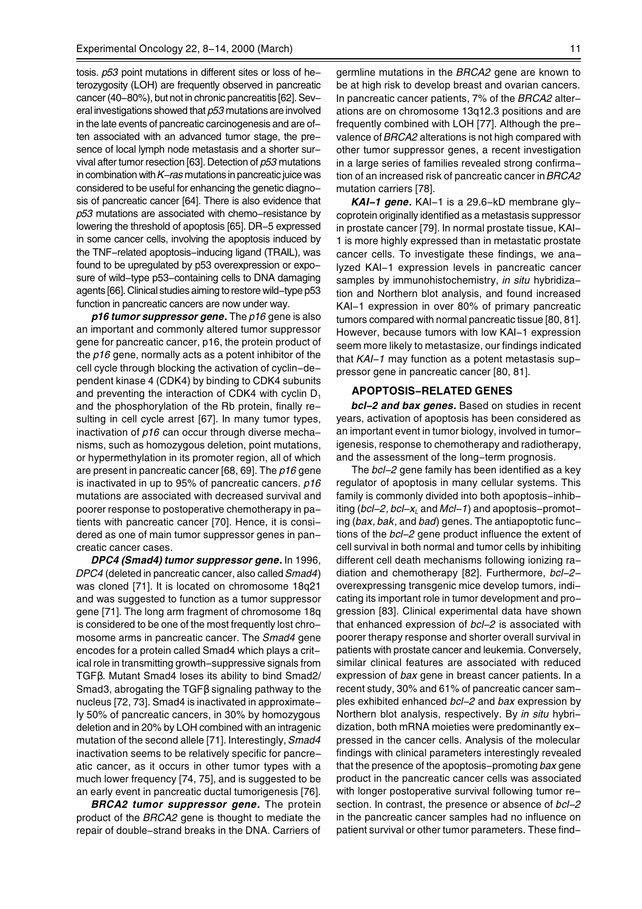tosis. p53 point mutations in different sites or loss of heterozygosity (LOH) are frequently observed in pancreatic cancer (40-80%), but not in chronic pancreatitis [62]. Several investigations showed that  $p53$  mutations are involved in the late events of pancreatic carcinogenesis and are often associated with an advanced tumor stage, the presence of local lymph node metastasis and a shorter survival after tumor resection [63]. Detection of p53 mutations in combination with  $K$ -ras mutations in pancreatic juice was considered to be useful for enhancing the genetic diagnosis of pancreatic cancer [64]. There is also evidence that p53 mutations are associated with chemo-resistance by lowering the threshold of apoptosis [65]. DR-5 expressed in some cancer cells, involving the apoptosis induced by the TNF-related apoptosis-inducing ligand (TRAIL), was found to be upregulated by p53 overexpression or exposure of wild-type p53-containing cells to DNA damaging agents [66]. Clinical studies aiming to restore wild-type p53 function in pancreatic cancers are now under way.

 $p16$  tumor suppressor gene. The  $p16$  gene is also an important and commonly altered tumor suppressor gene for pancreatic cancer, p16, the protein product of the  $p16$  gene, normally acts as a potent inhibitor of the cell cycle through blocking the activation of cyclin-dependent kinase 4 (CDK4) by binding to CDK4 subunits and preventing the interaction of CDK4 with cyclin  $D_1$ and the phosphorylation of the Rb protein, finally resulting in cell cycle arrest [67]. In many tumor types, inactivation of p16 can occur through diverse mechanisms, such as homozygous deletion, point mutations, or hypermethylation in its promoter region, all of which are present in pancreatic cancer [68, 69]. The *p16* gene is inactivated in up to 95% of pancreatic cancers. p16 mutations are associated with decreased survival and poorer response to postoperative chemotherapy in patients with pancreatic cancer [70]. Hence, it is considered as one of main tumor suppressor genes in pancreatic cancer cases.

DPC4 (Smad4) tumor suppressor gene. In 1996, DPC4 (deleted in pancreatic cancer, also called Smad4) was cloned [71]. It is located on chromosome 18q21 and was suggested to function as a tumor suppressor gene [71]. The long arm fragment of chromosome 18q is considered to be one of the most frequently lost chromosome arms in pancreatic cancer. The Smad4 gene encodes for a protein called Smad4 which plays a critical role in transmitting growth-suppressive signals from TGFβ. Mutant Smad4 loses its ability to bind Smad2/ Smad3, abrogating the TGFβ signaling pathway to the nucleus [72, 73]. Smad4 is inactivated in approximately 50% of pancreatic cancers, in 30% by homozygous deletion and in 20% by LOH combined with an intragenic mutation of the second allele [71]. Interestingly, Smad4 inactivation seems to be relatively specific for pancreatic cancer, as it occurs in other tumor types with a much lower frequency [74, 75], and is suggested to be an early event in pancreatic ductal tumorigenesis [76].

**BRCA2 tumor suppressor gene.** The protein product of the BRCA2 gene is thought to mediate the repair of double-strand breaks in the DNA. Carriers of germline mutations in the BRCA2 gene are known to be at high risk to develop breast and ovarian cancers. In pancreatic cancer patients, 7% of the BRCA2 alterations are on chromosome 13q12.3 positions and are frequently combined with LOH [77]. Although the prevalence of BRCA2 alterations is not high compared with other tumor suppressor genes, a recent investigation in a large series of families revealed strong confirmation of an increased risk of pancreatic cancer in BRCA2 mutation carriers [78].

KAI-1 gene. KAI-1 is a 29.6-kD membrane glycoprotein originally identified as a metastasis suppressor in prostate cancer [79]. In normal prostate tissue, KAI-1 is more highly expressed than in metastatic prostate cancer cells. To investigate these findings, we analyzed KAI-1 expression levels in pancreatic cancer samples by immunohistochemistry, in situ hybridization and Northern blot analysis, and found increased KAI-1 expression in over 80% of primary pancreatic tumors compared with normal pancreatic tissue [80, 81]. However, because tumors with low KAI-1 expression seem more likely to metastasize, our findings indicated that  $KAI-1$  may function as a potent metastasis suppressor gene in pancreatic cancer [80, 81].

## APOPTOSIS-RELATED GENES

bcl-2 and bax genes. Based on studies in recent years, activation of apoptosis has been considered as an important event in tumor biology, involved in tumorigenesis, response to chemotherapy and radiotherapy, and the assessment of the long-term prognosis.

The bcl-2 gene family has been identified as a key regulator of apoptosis in many cellular systems. This family is commonly divided into both apoptosis-inhibiting (bcl-2, bcl-x<sub>i</sub> and Mcl-1) and apoptosis-promoting (bax, bak, and bad) genes. The antiapoptotic functions of the bcl-2 gene product influence the extent of cell survival in both normal and tumor cells by inhibiting different cell death mechanisms following ionizing radiation and chemotherapy [82]. Furthermore, bcl-2overexpressing transgenic mice develop tumors, indicating its important role in tumor development and progression [83]. Clinical experimental data have shown that enhanced expression of bcl-2 is associated with poorer therapy response and shorter overall survival in patients with prostate cancer and leukemia. Conversely, similar clinical features are associated with reduced expression of bax gene in breast cancer patients. In a recent study, 30% and 61% of pancreatic cancer samples exhibited enhanced bcl-2 and bax expression by Northern blot analysis, respectively. By in situ hybridization, both mRNA moieties were predominantly expressed in the cancer cells. Analysis of the molecular findings with clinical parameters interestingly revealed that the presence of the apoptosis-promoting bax gene product in the pancreatic cancer cells was associated with longer postoperative survival following tumor resection. In contrast, the presence or absence of bcl-2 in the pancreatic cancer samples had no influence on patient survival or other tumor parameters. These find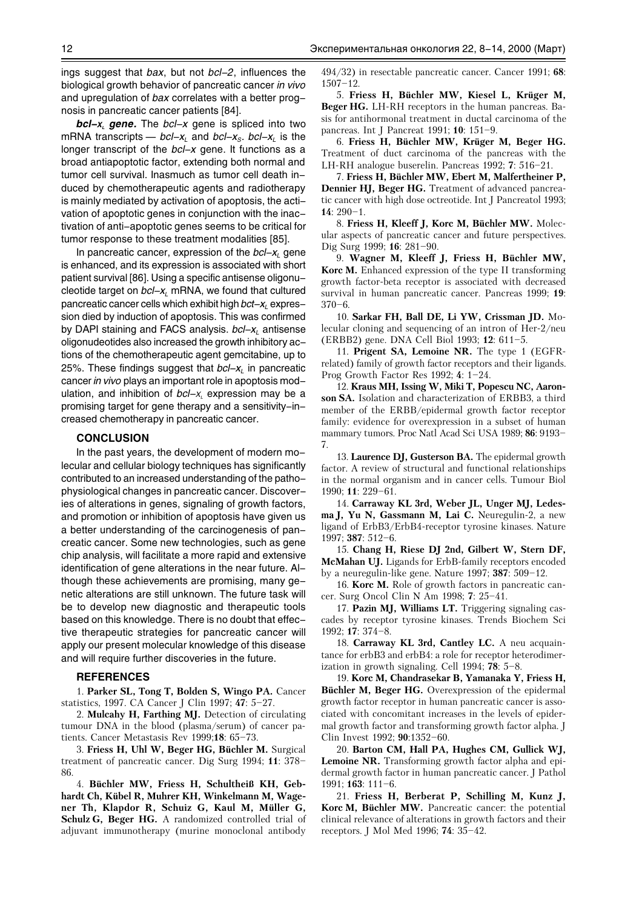ings suggest that bax, but not bcl-2, influences the biological growth behavior of pancreatic cancer in vivo and upregulation of bax correlates with a better prognosis in pancreatic cancer patients [84].

bcl-x, gene. The  $bc$ l-x gene is spliced into two mRNA transcripts —  $bcI-x_L$  and  $bcI-x_S$ .  $bcI-x_L$  is the longer transcript of the  $bcI-x$  gene. It functions as a broad antiapoptotic factor, extending both normal and tumor cell survival. Inasmuch as tumor cell death induced by chemotherapeutic agents and radiotherapy is mainly mediated by activation of apoptosis, the activation of apoptotic genes in conjunction with the inactivation of anti-apoptotic genes seems to be critical for tumor response to these treatment modalities [85].

In pancreatic cancer, expression of the  $bcI-x_L$  gene is enhanced, and its expression is associated with short patient survival [86]. Using a specific antisense oligonucleotide target on  $bcI-x_i$  mRNA, we found that cultured pancreatic cancer cells which exhibit high  $bct-x_i$  expression died by induction of apoptosis. This was confirmed by DAPI staining and FACS analysis.  $bcI - x<sub>l</sub>$  antisense oligonudeotides also increased the growth inhibitory actions of the chemotherapeutic agent gemcitabine, up to 25%. These findings suggest that  $bcI - x_L$  in pancreatic cancer in vivo plays an important role in apoptosis modulation, and inhibition of  $bcI-x$ , expression may be a promising target for gene therapy and a sensitivity-increased chemotherapy in pancreatic cancer.

### **CONCLUSION**

In the past years, the development of modern molecular and cellular biology techniques has significantly contributed to an increased understanding of the pathophysiological changes in pancreatic cancer. Discoveries of alterations in genes, signaling of growth factors, and promotion or inhibition of apoptosis have given us a better understanding of the carcinogenesis of pancreatic cancer. Some new technologies, such as gene chip analysis, will facilitate a more rapid and extensive identification of gene alterations in the near future. Although these achievements are promising, many genetic alterations are still unknown. The future task will be to develop new diagnostic and therapeutic tools based on this knowledge. There is no doubt that effective therapeutic strategies for pancreatic cancer will apply our present molecular knowledge of this disease and will require further discoveries in the future.

#### REFERENCES

1. Parker SL, Tong T, Bolden S, Wingo PA. Cancer statistics, 1997. CA Cancer J Clin 1997; 47: 5-27.

2. Mulcahy H, Farthing MJ. Detection of circulating tumour DNA in the blood (plasma/serum) of cancer patients. Cancer Metastasis Rev 1999;18: 65-73.

3. Friess H, Uhl W, Beger HG, Büchler M. Surgical treatment of pancreatic cancer. Dig Surg 1994; 11: 378 86.

4. Büchler MW, Friess H, Schultheiß KH, Gebhardt Ch, Kübel R, Muhrer KH, Winkelmann M, Wagener Th, Klapdor R, Schuiz G, Kaul M, Müller G, Schulz G, Beger HG. A randomized controlled trial of adjuvant immunotherapy (murine monoclonal antibody

494/32) in resectable pancreatic cancer. Cancer 1991; 68:  $1507 - 12.$ 

5. Friess H, Büchler MW, Kiesel L, Krüger M, Beger HG. LH-RH receptors in the human pancreas. Basis for antihormonal treatment in ductal carcinoma of the pancreas. Int J Pancreat 1991; **10**: 151-9.

6. Friess H, Büchler MW, Krüger M, Beger HG. Treatment of duct carcinoma of the pancreas with the LH-RH analogue buserelin. Pancreas 1992; 7: 516-21.

7. Friess H, Büchler MW, Ebert M, Malfertheiner P, Dennier HJ, Beger HG. Treatment of advanced pancreatic cancer with high dose octreotide. Int J Pancreatol 1993;  $14:290-1.$ 

8. Friess H, Kleeff J, Korc M, Büchler MW. Molecular aspects of pancreatic cancer and future perspectives. Dig Surg 1999; **16**: 281-90.

9. Wagner M, Kleeff J, Friess H, Büchler MW, Korc M. Enhanced expression of the type II transforming growth factor-beta receptor is associated with decreased survival in human pancreatic cancer. Pancreas 1999; 19:  $370 - 6$ 

10. Sarkar FH, Ball DE, Li YW, Crissman JD. Molecular cloning and sequencing of an intron of Her-2/neu (ERBB2) gene. DNA Cell Biol 1993; 12: 611-5.

11. Prigent SA, Lemoine NR. The type 1 (EGFRrelated) family of growth factor receptors and their ligands. Prog Growth Factor Res 1992;  $4: 1-24$ .

12. Kraus MH, Issing W, Miki T, Popescu NC, Aaronson SA. Isolation and characterization of ERBB3, a third member of the ERBB/epidermal growth factor receptor family: evidence for overexpression in a subset of human mammary tumors. Proc Natl Acad Sci USA 1989; 86: 9193 7.

13. Laurence DJ, Gusterson BA. The epidermal growth factor. A review of structural and functional relationships in the normal organism and in cancer cells. Tumour Biol  $1990: 11: 229 - 61.$ 

14. Carraway KL 3rd, Weber JL, Unger MJ, Ledesma J, Yu N, Gassmann M, Lai C. Neuregulin-2, a new ligand of ErbB3/ErbB4-receptor tyrosine kinases. Nature 1997; 387: 512-6.

15. Chang H, Riese DJ 2nd, Gilbert W, Stern DF, McMahan UJ. Ligands for ErbB-family receptors encoded by a neuregulin-like gene. Nature 1997;  $387: 509-12$ .

16. Korc M. Role of growth factors in pancreatic cancer. Surg Oncol Clin N Am 1998; 7: 25-41.

17. Pazin MJ, Williams LT. Triggering signaling cascades by receptor tyrosine kinases. Trends Biochem Sci 1992; 17: 374-8.

18. Carraway KL 3rd, Cantley LC. A neu acquaintance for erbB3 and erbB4: a role for receptor heterodimerization in growth signaling. Cell 1994;  $78: 5-8$ .

19. Korc M, Chandrasekar B, Yamanaka Y, Friess H, Büchler M, Beger HG. Overexpression of the epidermal growth factor receptor in human pancreatic cancer is associated with concomitant increases in the levels of epidermal growth factor and transforming growth factor alpha. J Clin Invest 1992; 90:1352-60.

20. Barton CM, Hall PA, Hughes CM, Gullick WJ, Lemoine NR. Transforming growth factor alpha and epidermal growth factor in human pancreatic cancer. J Pathol 1991; 163: 111-6.

21. Friess H, Berberat P, Schilling M, Kunz J, Korc M, Büchler MW. Pancreatic cancer: the potential clinical relevance of alterations in growth factors and their receptors. J Mol Med 1996; 74: 35-42.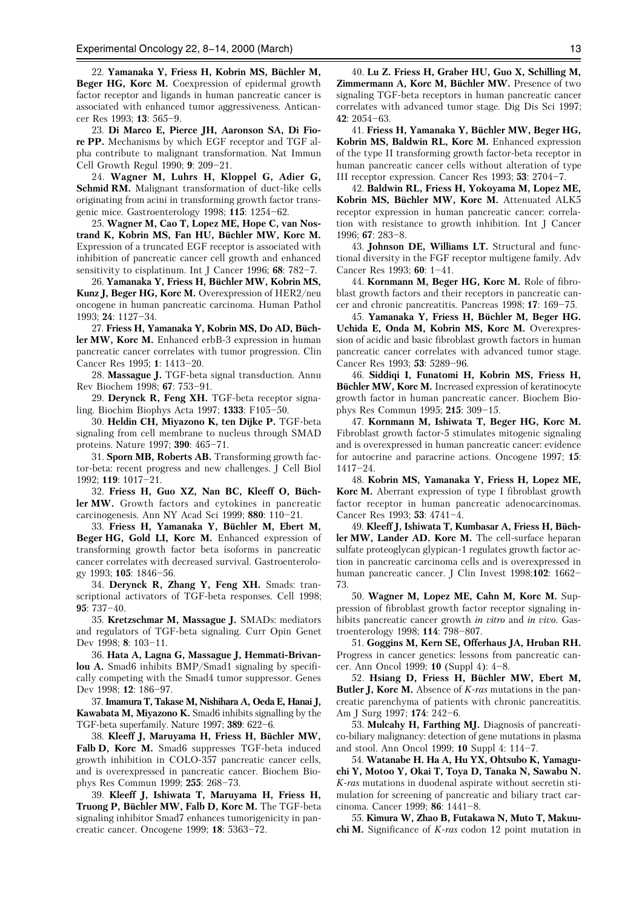22. Yamanaka Y, Friess H, Kobrin MS, Büchler M, Beger HG, Korc M. Coexpression of epidermal growth factor receptor and ligands in human pancreatic cancer is associated with enhanced tumor aggressiveness. Anticancer Res 1993; 13: 565-9.

23. Di Marco E, Pierce JH, Aaronson SA, Di Fiore PP. Mechanisms by which EGF receptor and TGF alpha contribute to malignant transformation. Nat Immun Cell Growth Regul 1990;  $9: 209-21$ .

24. Wagner M, Luhrs H, Kloppel G, Adier G, Schmid RM. Malignant transformation of duct-like cells originating from acini in transforming growth factor transgenic mice. Gastroenterology 1998;  $115: 1254-62$ .

25. Wagner M, Cao T, Lopez ME, Hope C, van Nostrand K, Kobrin MS, Fan HU, Büchler MW, Korc M. Expression of a truncated EGF receptor is associated with inhibition of pancreatic cancer cell growth and enhanced sensitivity to cisplatinum. Int J Cancer 1996;  $68: 782-7$ .

26. Yamanaka Y, Friess H, Büchler MW, Kobrin MS, Kunz J, Beger HG, Korc M. Overexpression of HER2/neu oncogene in human pancreatic carcinoma. Human Pathol 1993; 24: 1127-34.

27. Friess H, Yamanaka Y, Kobrin MS, Do AD, Büchler MW, Korc M. Enhanced erbB-3 expression in human pancreatic cancer correlates with tumor progression. Clin Cancer Res 1995; 1: 1413-20.

28. Massague J. TGF-beta signal transduction. Annu Rev Biochem 1998; 67: 753-91.

29. Derynck R, Feng XH. TGF-beta receptor signaling. Biochim Biophys Acta 1997;  $1333$ : F105-50.

30. Heldin CH, Miyazono K, ten Dijke P. TGF-beta signaling from cell membrane to nucleus through SMAD proteins. Nature 1997; 390: 465-71.

31. Sporn MB, Roberts AB. Transforming growth factor-beta: recent progress and new challenges. J Cell Biol 1992; 119: 1017-21.

32. Friess H, Guo XZ, Nan BC, Kleeff O, Büchler MW. Growth factors and cytokines in pancreatic carcinogenesis. Ann NY Acad Sci 1999:  $880: 110-21$ .

33. Friess H, Yamanaka Y, Büchler M, Ebert M, Beger HG, Gold LI, Korc M. Enhanced expression of transforming growth factor beta isoforms in pancreatic cancer correlates with decreased survival. Gastroenterology 1993; 105: 1846-56.

34. Derynck R, Zhang Y, Feng XH. Smads: transcriptional activators of TGF-beta responses. Cell 1998;  $95:737-40.$ 

35. Kretzschmar M, Massague J. SMADs: mediators and regulators of TGF-beta signaling. Curr Opin Genet Dev 1998; 8: 103-11.

36. Hata A, Lagna G, Massague J, Hemmati-Brivanlou A. Smad6 inhibits BMP/Smad1 signaling by specifically competing with the Smad4 tumor suppressor. Genes Dev 1998; 12: 186-97.

37. Imamura T, Takase M, Nishihara A, Oeda E, Hanai J, Kawabata M, Miyazono K. Smad6 inhibits signalling by the TGF-beta superfamily. Nature 1997; 389: 622-6.

38. Kleeff J, Maruyama H, Friess H, Büchler MW, Falb D, Korc M. Smad6 suppresses TGF-beta induced growth inhibition in COLO-357 pancreatic cancer cells, and is overexpressed in pancreatic cancer. Biochem Biophys Res Commun 1999; 255: 268-73.

39. Kleeff J, Ishiwata T, Maruyama H, Friess H, Truong P, Büchler MW, Falb D, Korc M. The TGF-beta signaling inhibitor Smad7 enhances tumorigenicity in pancreatic cancer. Oncogene 1999; 18: 5363-72.

40. Lu Z. Friess H, Graber HU, Guo X, Schilling M, Zimmermann A, Korc M, Büchler MW. Presence of two signaling TGF-beta receptors in human pancreatic cancer correlates with advanced tumor stage. Dig Dis Sci 1997;  $42:2054-63$ .

41. Friess H, Yamanaka Y, Büchler MW, Beger HG, Kobrin MS, Baldwin RL, Korc M. Enhanced expression of the type II transforming growth factor-beta receptor in human pancreatic cancer cells without alteration of type III receptor expression. Cancer Res 1993; 53: 2704-7.

42. Baldwin RL, Friess H, Yokoyama M, Lopez ME, Kobrin MS, Büchler MW, Korc M. Attenuated ALK5 receptor expression in human pancreatic cancer: correlation with resistance to growth inhibition. Int J Cancer  $1996; 67: 283-8.$ 

43. Johnson DE, Williams LT. Structural and functional diversity in the FGF receptor multigene family. Adv Cancer Res 1993; 60: 1-41.

44. Kornmann M, Beger HG, Korc M. Role of fibroblast growth factors and their receptors in pancreatic cancer and chronic pancreatitis. Pancreas 1998; 17: 169-75.

45. Yamanaka Y, Friess H, Büchler M, Beger HG. Uchida E, Onda M, Kobrin MS, Korc M. Overexpression of acidic and basic fibroblast growth factors in human pancreatic cancer correlates with advanced tumor stage. Cancer Res 1993; 53: 5289-96.

46. Siddiqi I, Funatomi H, Kobrin MS, Friess H, Büchler MW, Korc M. Increased expression of keratinocyte growth factor in human pancreatic cancer. Biochem Biophys Res Commun 1995; 215: 309-15.

47. Kornmann M, Ishiwata T, Beger HG, Korc M. Fibroblast growth factor-5 stimulates mitogenic signaling and is overexpressed in human pancreatic cancer: evidence for autocrine and paracrine actions. Oncogene 1997; 15:  $1417 - 24$ .

48. Kobrin MS, Yamanaka Y, Friess H, Lopez ME, Korc M. Aberrant expression of type I fibroblast growth factor receptor in human pancreatic adenocarcinomas. Cancer Res 1993;  $53: 4741 - 4$ .

49. Kleeff J, Ishiwata T, Kumbasar A, Friess H, Büchler MW, Lander AD. Korc M. The cell-surface heparan sulfate proteoglycan glypican-1 regulates growth factor action in pancreatic carcinoma cells and is overexpressed in human pancreatic cancer. J Clin Invest 1998;102: 1662-73.

50. Wagner M, Lopez ME, Cahn M, Korc M. Suppression of fibroblast growth factor receptor signaling inhibits pancreatic cancer growth in vitro and in vivo. Gastroenterology 1998; 114: 798-807.

51. Goggins M, Kern SE, Offerhaus JA, Hruban RH. Progress in cancer genetics: lessons from pancreatic cancer. Ann Oncol 1999;  $10$  (Suppl 4):  $4-8$ .

52. Hsiang D, Friess H, Büchler MW, Ebert M, Butler J, Korc M. Absence of *K-ras* mutations in the pancreatic parenchyma of patients with chronic pancreatitis. Am J Surg 1997; 174: 242-6.

53. Mulcahy H, Farthing MJ. Diagnosis of pancreatico-biliary malignancy: detection of gene mutations in plasma and stool. Ann Oncol 1999; 10 Suppl 4: 1147.

54. Watanabe H. Ha A, Hu YX, Ohtsubo K, Yamaguchi Y, Motoo Y, Okai T, Toya D, Tanaka N, Sawabu N. K-ras mutations in duodenal aspirate without secretin stimulation for screening of pancreatic and biliary tract carcinoma. Cancer 1999; 86: 1441-8.

55. Kimura W, Zhao B, Futakawa N, Muto T, Makuuchi M. Significance of K-ras codon 12 point mutation in